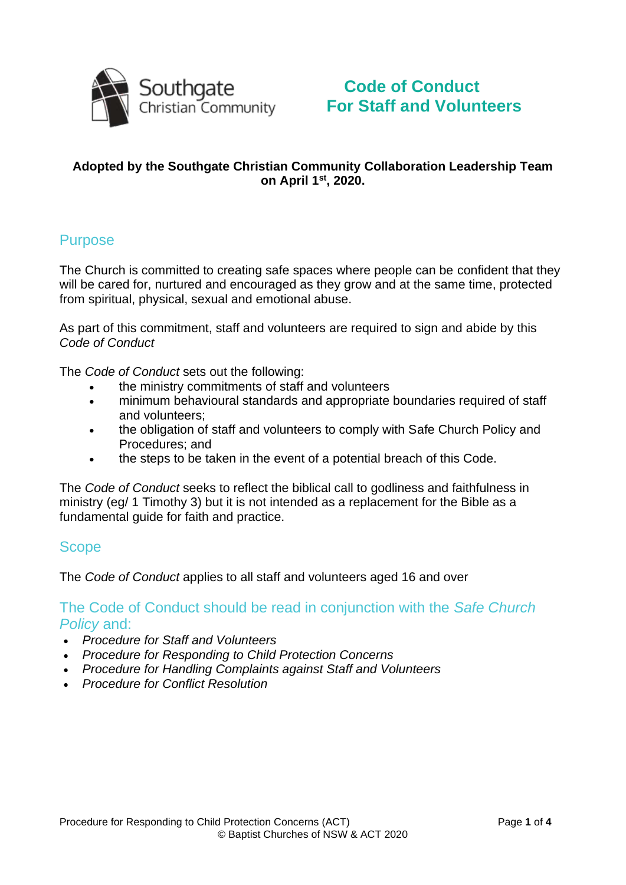

# **Code of Conduct For Staff and Volunteers**

#### **Adopted by the Southgate Christian Community Collaboration Leadership Team on April 1st, 2020.**

### Purpose

The Church is committed to creating safe spaces where people can be confident that they will be cared for, nurtured and encouraged as they grow and at the same time, protected from spiritual, physical, sexual and emotional abuse.

As part of this commitment, staff and volunteers are required to sign and abide by this *Code of Conduct*

The *Code of Conduct* sets out the following:

- the ministry commitments of staff and volunteers
- minimum behavioural standards and appropriate boundaries required of staff and volunteers;
- the obligation of staff and volunteers to comply with Safe Church Policy and Procedures; and
- the steps to be taken in the event of a potential breach of this Code.

The *Code of Conduct* seeks to reflect the biblical call to godliness and faithfulness in ministry (eg/ 1 Timothy 3) but it is not intended as a replacement for the Bible as a fundamental guide for faith and practice.

#### **Scope**

The *Code of Conduct* applies to all staff and volunteers aged 16 and over

The Code of Conduct should be read in conjunction with the *Safe Church Policy* and:

- *Procedure for Staff and Volunteers*
- *Procedure for Responding to Child Protection Concerns*
- *Procedure for Handling Complaints against Staff and Volunteers*
- *Procedure for Conflict Resolution*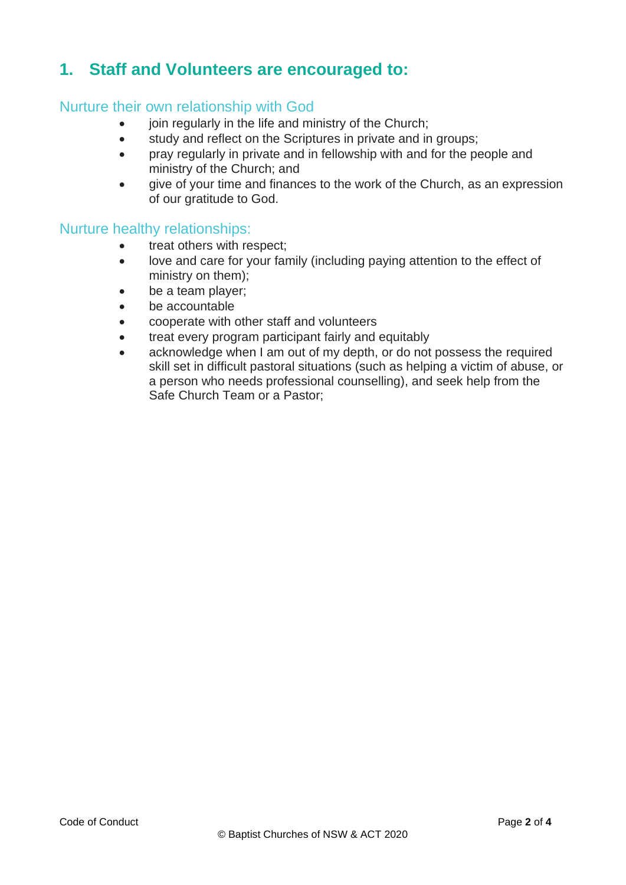# **1. Staff and Volunteers are encouraged to:**

#### Nurture their own relationship with God

- join regularly in the life and ministry of the Church:
- study and reflect on the Scriptures in private and in groups;
- pray regularly in private and in fellowship with and for the people and ministry of the Church; and
- give of your time and finances to the work of the Church, as an expression of our gratitude to God.

#### Nurture healthy relationships:

- treat others with respect;
- love and care for your family (including paying attention to the effect of ministry on them);
- be a team player;
- be accountable
- cooperate with other staff and volunteers
- treat every program participant fairly and equitably
- acknowledge when I am out of my depth, or do not possess the required skill set in difficult pastoral situations (such as helping a victim of abuse, or a person who needs professional counselling), and seek help from the Safe Church Team or a Pastor;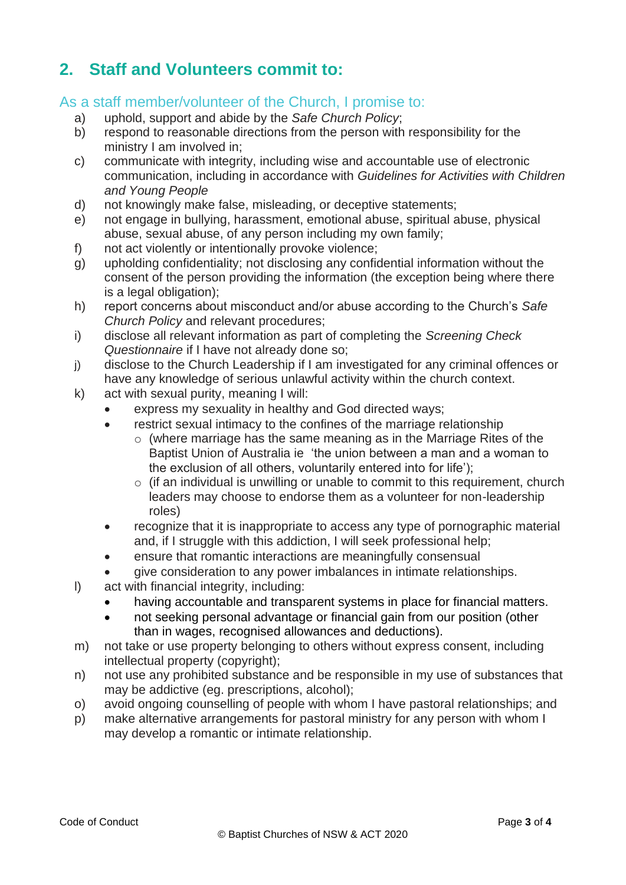# **2. Staff and Volunteers commit to:**

### As a staff member/volunteer of the Church, I promise to:

- a) uphold, support and abide by the *Safe Church Policy*;
- b) respond to reasonable directions from the person with responsibility for the ministry I am involved in;
- c) communicate with integrity, including wise and accountable use of electronic communication, including in accordance with *Guidelines for Activities with Children and Young People*
- d) not knowingly make false, misleading, or deceptive statements;
- e) not engage in bullying, harassment, emotional abuse, spiritual abuse, physical abuse, sexual abuse, of any person including my own family;
- f) not act violently or intentionally provoke violence;
- g) upholding confidentiality; not disclosing any confidential information without the consent of the person providing the information (the exception being where there is a legal obligation);
- h) report concerns about misconduct and/or abuse according to the Church's *Safe Church Policy* and relevant procedures;
- i) disclose all relevant information as part of completing the *Screening Check Questionnaire* if I have not already done so;
- j) disclose to the Church Leadership if I am investigated for any criminal offences or have any knowledge of serious unlawful activity within the church context.
- k) act with sexual purity, meaning I will:
	- express my sexuality in healthy and God directed ways:
	- restrict sexual intimacy to the confines of the marriage relationship
		- $\circ$  (where marriage has the same meaning as in the Marriage Rites of the Baptist Union of Australia ie 'the union between a man and a woman to the exclusion of all others, voluntarily entered into for life');
		- $\circ$  (if an individual is unwilling or unable to commit to this requirement, church leaders may choose to endorse them as a volunteer for non-leadership roles)
	- recognize that it is inappropriate to access any type of pornographic material and, if I struggle with this addiction, I will seek professional help;
	- ensure that romantic interactions are meaningfully consensual
	- give consideration to any power imbalances in intimate relationships.
- l) act with financial integrity, including:
	- having accountable and transparent systems in place for financial matters.
	- not seeking personal advantage or financial gain from our position (other than in wages, recognised allowances and deductions).
- m) not take or use property belonging to others without express consent, including intellectual property (copyright);
- n) not use any prohibited substance and be responsible in my use of substances that may be addictive (eg. prescriptions, alcohol);
- o) avoid ongoing counselling of people with whom I have pastoral relationships; and
- p) make alternative arrangements for pastoral ministry for any person with whom I may develop a romantic or intimate relationship.